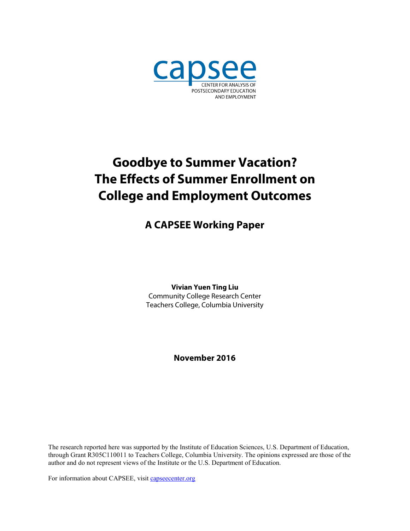

# **Goodbye to Summer Vacation? The Effects of Summer Enrollment on College and Employment Outcomes**

# **A CAPSEE Working Paper**

**Vivian Yuen Ting Liu** Community College Research Center Teachers College, Columbia University

**November 2016**

The research reported here was supported by the Institute of Education Sciences, U.S. Department of Education, through Grant R305C110011 to Teachers College, Columbia University. The opinions expressed are those of the author and do not represent views of the Institute or the U.S. Department of Education.

For information about CAPSEE, visit capsecenter.org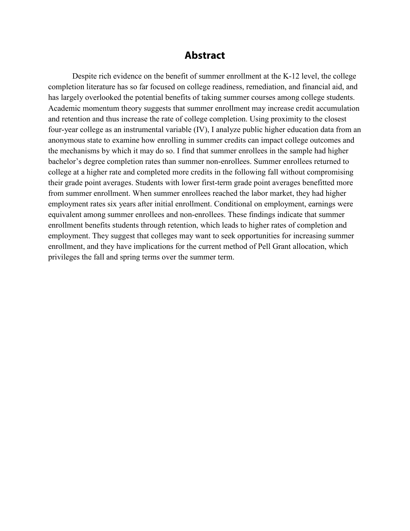### **Abstract**

Despite rich evidence on the benefit of summer enrollment at the K-12 level, the college completion literature has so far focused on college readiness, remediation, and financial aid, and has largely overlooked the potential benefits of taking summer courses among college students. Academic momentum theory suggests that summer enrollment may increase credit accumulation and retention and thus increase the rate of college completion. Using proximity to the closest four-year college as an instrumental variable (IV), I analyze public higher education data from an anonymous state to examine how enrolling in summer credits can impact college outcomes and the mechanisms by which it may do so. I find that summer enrollees in the sample had higher bachelor's degree completion rates than summer non-enrollees. Summer enrollees returned to college at a higher rate and completed more credits in the following fall without compromising their grade point averages. Students with lower first-term grade point averages benefitted more from summer enrollment. When summer enrollees reached the labor market, they had higher employment rates six years after initial enrollment. Conditional on employment, earnings were equivalent among summer enrollees and non-enrollees. These findings indicate that summer enrollment benefits students through retention, which leads to higher rates of completion and employment. They suggest that colleges may want to seek opportunities for increasing summer enrollment, and they have implications for the current method of Pell Grant allocation, which privileges the fall and spring terms over the summer term.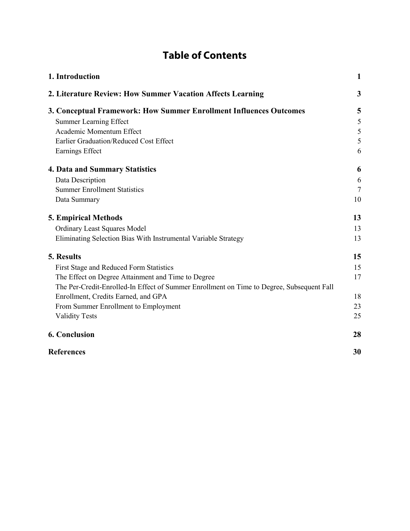# **Table of Contents**

| 1. Introduction                                                                           | $\mathbf{1}$ |
|-------------------------------------------------------------------------------------------|--------------|
| 2. Literature Review: How Summer Vacation Affects Learning                                | 3            |
| 3. Conceptual Framework: How Summer Enrollment Influences Outcomes                        | 5            |
| <b>Summer Learning Effect</b>                                                             | 5            |
| Academic Momentum Effect                                                                  | 5            |
| Earlier Graduation/Reduced Cost Effect                                                    | 5            |
| Earnings Effect                                                                           | 6            |
| <b>4. Data and Summary Statistics</b>                                                     | 6            |
| Data Description                                                                          | 6            |
| <b>Summer Enrollment Statistics</b>                                                       | 7            |
| Data Summary                                                                              | 10           |
| <b>5. Empirical Methods</b>                                                               | 13           |
| <b>Ordinary Least Squares Model</b>                                                       | 13           |
| Eliminating Selection Bias With Instrumental Variable Strategy                            | 13           |
| 5. Results                                                                                | 15           |
| First Stage and Reduced Form Statistics                                                   | 15           |
| The Effect on Degree Attainment and Time to Degree                                        | 17           |
| The Per-Credit-Enrolled-In Effect of Summer Enrollment on Time to Degree, Subsequent Fall |              |
| Enrollment, Credits Earned, and GPA                                                       | 18           |
| From Summer Enrollment to Employment                                                      | 23           |
| <b>Validity Tests</b>                                                                     | 25           |
| <b>6. Conclusion</b>                                                                      | 28           |
| <b>References</b>                                                                         | 30           |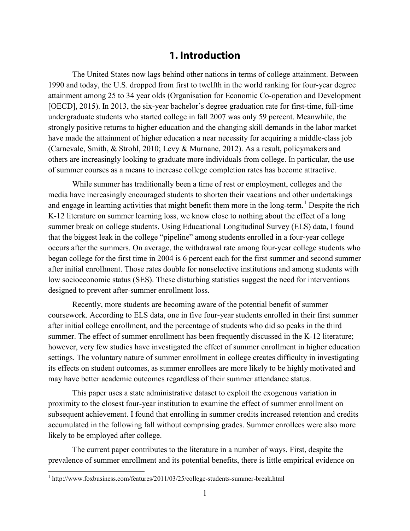### **1. Introduction**

<span id="page-4-0"></span>The United States now lags behind other nations in terms of college attainment. Between 1990 and today, the U.S. dropped from first to twelfth in the world ranking for four-year degree attainment among 25 to 34 year olds (Organisation for Economic Co-operation and Development [OECD], 2015). In 2013, the six-year bachelor's degree graduation rate for first-time, full-time undergraduate students who started college in fall 2007 was only 59 percent. Meanwhile, the strongly positive returns to higher education and the changing skill demands in the labor market have made the attainment of higher education a near necessity for acquiring a middle-class job (Carnevale, Smith, & Strohl, 2010; Levy & Murnane, 2012). As a result, policymakers and others are increasingly looking to graduate more individuals from college. In particular, the use of summer courses as a means to increase college completion rates has become attractive.

While summer has traditionally been a time of rest or employment, colleges and the media have increasingly encouraged students to shorten their vacations and other undertakings and engage in learning activities that might benefit them more in the long-term.<sup>[1](#page-4-1)</sup> Despite the rich K-12 literature on summer learning loss, we know close to nothing about the effect of a long summer break on college students. Using Educational Longitudinal Survey (ELS) data, I found that the biggest leak in the college "pipeline" among students enrolled in a four-year college occurs after the summers. On average, the withdrawal rate among four-year college students who began college for the first time in 2004 is 6 percent each for the first summer and second summer after initial enrollment. Those rates double for nonselective institutions and among students with low socioeconomic status (SES). These disturbing statistics suggest the need for interventions designed to prevent after-summer enrollment loss.

Recently, more students are becoming aware of the potential benefit of summer coursework. According to ELS data, one in five four-year students enrolled in their first summer after initial college enrollment, and the percentage of students who did so peaks in the third summer. The effect of summer enrollment has been frequently discussed in the K-12 literature; however, very few studies have investigated the effect of summer enrollment in higher education settings. The voluntary nature of summer enrollment in college creates difficulty in investigating its effects on student outcomes, as summer enrollees are more likely to be highly motivated and may have better academic outcomes regardless of their summer attendance status.

This paper uses a state administrative dataset to exploit the exogenous variation in proximity to the closest four-year institution to examine the effect of summer enrollment on subsequent achievement. I found that enrolling in summer credits increased retention and credits accumulated in the following fall without comprising grades. Summer enrollees were also more likely to be employed after college.

The current paper contributes to the literature in a number of ways. First, despite the prevalence of summer enrollment and its potential benefits, there is little empirical evidence on

<span id="page-4-1"></span><sup>1</sup> http://www.foxbusiness.com/features/2011/03/25/college-students-summer-break.html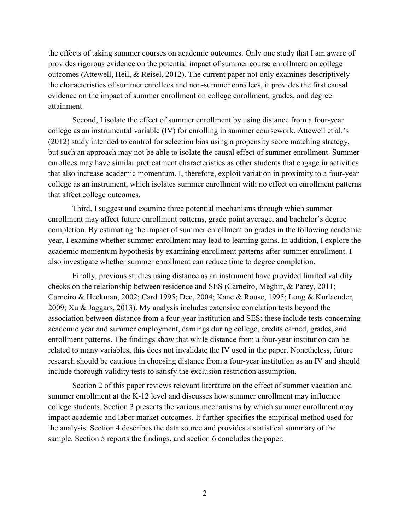the effects of taking summer courses on academic outcomes. Only one study that I am aware of provides rigorous evidence on the potential impact of summer course enrollment on college outcomes (Attewell, Heil, & Reisel, 2012). The current paper not only examines descriptively the characteristics of summer enrollees and non-summer enrollees, it provides the first causal evidence on the impact of summer enrollment on college enrollment, grades, and degree attainment.

Second, I isolate the effect of summer enrollment by using distance from a four-year college as an instrumental variable (IV) for enrolling in summer coursework. Attewell et al.'s (2012) study intended to control for selection bias using a propensity score matching strategy, but such an approach may not be able to isolate the causal effect of summer enrollment. Summer enrollees may have similar pretreatment characteristics as other students that engage in activities that also increase academic momentum. I, therefore, exploit variation in proximity to a four-year college as an instrument, which isolates summer enrollment with no effect on enrollment patterns that affect college outcomes.

Third, I suggest and examine three potential mechanisms through which summer enrollment may affect future enrollment patterns, grade point average, and bachelor's degree completion. By estimating the impact of summer enrollment on grades in the following academic year, I examine whether summer enrollment may lead to learning gains. In addition, I explore the academic momentum hypothesis by examining enrollment patterns after summer enrollment. I also investigate whether summer enrollment can reduce time to degree completion.

Finally, previous studies using distance as an instrument have provided limited validity checks on the relationship between residence and SES (Carneiro, Meghir, & Parey, 2011; Carneiro & Heckman, 2002; Card 1995; Dee, 2004; Kane & Rouse, 1995; Long & Kurlaender, 2009; Xu & Jaggars, 2013). My analysis includes extensive correlation tests beyond the association between distance from a four-year institution and SES: these include tests concerning academic year and summer employment, earnings during college, credits earned, grades, and enrollment patterns. The findings show that while distance from a four-year institution can be related to many variables, this does not invalidate the IV used in the paper. Nonetheless, future research should be cautious in choosing distance from a four-year institution as an IV and should include thorough validity tests to satisfy the exclusion restriction assumption.

Section 2 of this paper reviews relevant literature on the effect of summer vacation and summer enrollment at the K-12 level and discusses how summer enrollment may influence college students. Section 3 presents the various mechanisms by which summer enrollment may impact academic and labor market outcomes. It further specifies the empirical method used for the analysis. Section 4 describes the data source and provides a statistical summary of the sample. Section 5 reports the findings, and section 6 concludes the paper.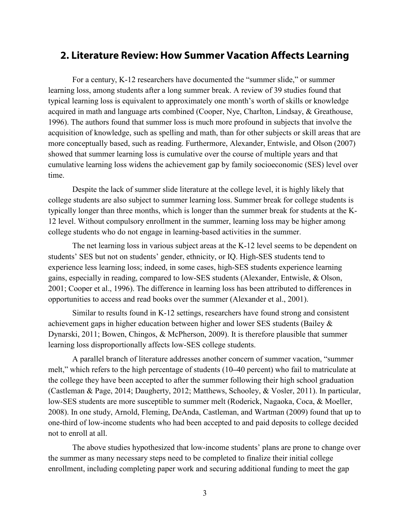### <span id="page-6-0"></span>**2. Literature Review: How Summer Vacation Affects Learning**

For a century, K-12 researchers have documented the "summer slide," or summer learning loss, among students after a long summer break. A review of 39 studies found that typical learning loss is equivalent to approximately one month's worth of skills or knowledge acquired in math and language arts combined (Cooper, Nye, Charlton, Lindsay, & Greathouse, 1996). The authors found that summer loss is much more profound in subjects that involve the acquisition of knowledge, such as spelling and math, than for other subjects or skill areas that are more conceptually based, such as reading. Furthermore, Alexander, Entwisle, and Olson (2007) showed that summer learning loss is cumulative over the course of multiple years and that cumulative learning loss widens the achievement gap by family socioeconomic (SES) level over time.

Despite the lack of summer slide literature at the college level, it is highly likely that college students are also subject to summer learning loss. Summer break for college students is typically longer than three months, which is longer than the summer break for students at the K-12 level. Without compulsory enrollment in the summer, learning loss may be higher among college students who do not engage in learning-based activities in the summer.

The net learning loss in various subject areas at the K-12 level seems to be dependent on students' SES but not on students' gender, ethnicity, or IQ. High-SES students tend to experience less learning loss; indeed, in some cases, high-SES students experience learning gains, especially in reading, compared to low-SES students (Alexander, Entwisle, & Olson, 2001; Cooper et al., 1996). The difference in learning loss has been attributed to differences in opportunities to access and read books over the summer (Alexander et al., 2001).

Similar to results found in K-12 settings, researchers have found strong and consistent achievement gaps in higher education between higher and lower SES students (Bailey & Dynarski, 2011; Bowen, Chingos, & McPherson, 2009). It is therefore plausible that summer learning loss disproportionally affects low-SES college students.

A parallel branch of literature addresses another concern of summer vacation, "summer melt," which refers to the high percentage of students (10**–**40 percent) who fail to matriculate at the college they have been accepted to after the summer following their high school graduation (Castleman & Page, 2014; Daugherty, 2012; Matthews, Schooley, & Vosler, 2011). In particular, low-SES students are more susceptible to summer melt (Roderick, Nagaoka, Coca, & Moeller, 2008). In one study, Arnold, Fleming, DeAnda, Castleman, and Wartman (2009) found that up to one-third of low-income students who had been accepted to and paid deposits to college decided not to enroll at all.

The above studies hypothesized that low-income students' plans are prone to change over the summer as many necessary steps need to be completed to finalize their initial college enrollment, including completing paper work and securing additional funding to meet the gap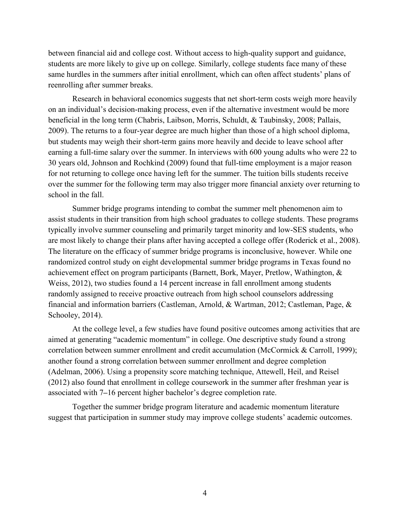between financial aid and college cost. Without access to high-quality support and guidance, students are more likely to give up on college. Similarly, college students face many of these same hurdles in the summers after initial enrollment, which can often affect students' plans of reenrolling after summer breaks.

Research in behavioral economics suggests that net short-term costs weigh more heavily on an individual's decision-making process, even if the alternative investment would be more beneficial in the long term (Chabris, Laibson, Morris, Schuldt, & Taubinsky, 2008; Pallais, 2009). The returns to a four-year degree are much higher than those of a high school diploma, but students may weigh their short-term gains more heavily and decide to leave school after earning a full-time salary over the summer. In interviews with 600 young adults who were 22 to 30 years old, Johnson and Rochkind (2009) found that full-time employment is a major reason for not returning to college once having left for the summer. The tuition bills students receive over the summer for the following term may also trigger more financial anxiety over returning to school in the fall.

Summer bridge programs intending to combat the summer melt phenomenon aim to assist students in their transition from high school graduates to college students. These programs typically involve summer counseling and primarily target minority and low-SES students, who are most likely to change their plans after having accepted a college offer (Roderick et al., 2008). The literature on the efficacy of summer bridge programs is inconclusive, however. While one randomized control study on eight developmental summer bridge programs in Texas found no achievement effect on program participants (Barnett, Bork, Mayer, Pretlow, Wathington, & Weiss, 2012), two studies found a 14 percent increase in fall enrollment among students randomly assigned to receive proactive outreach from high school counselors addressing financial and information barriers (Castleman, Arnold, & Wartman, 2012; Castleman, Page, & Schooley, 2014).

At the college level, a few studies have found positive outcomes among activities that are aimed at generating "academic momentum" in college. One descriptive study found a strong correlation between summer enrollment and credit accumulation (McCormick & Carroll, 1999); another found a strong correlation between summer enrollment and degree completion (Adelman, 2006). Using a propensity score matching technique, Attewell, Heil, and Reisel (2012) also found that enrollment in college coursework in the summer after freshman year is associated with 7**–**16 percent higher bachelor's degree completion rate.

Together the summer bridge program literature and academic momentum literature suggest that participation in summer study may improve college students' academic outcomes.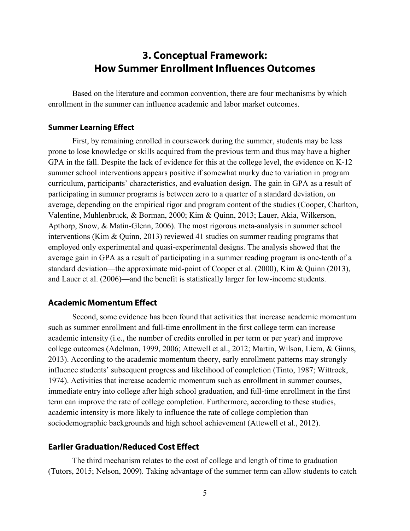## **3. Conceptual Framework: How Summer Enrollment Influences Outcomes**

<span id="page-8-0"></span>Based on the literature and common convention, there are four mechanisms by which enrollment in the summer can influence academic and labor market outcomes.

### <span id="page-8-1"></span>**Summer Learning Effect**

First, by remaining enrolled in coursework during the summer, students may be less prone to lose knowledge or skills acquired from the previous term and thus may have a higher GPA in the fall. Despite the lack of evidence for this at the college level, the evidence on K-12 summer school interventions appears positive if somewhat murky due to variation in program curriculum, participants' characteristics, and evaluation design. The gain in GPA as a result of participating in summer programs is between zero to a quarter of a standard deviation, on average, depending on the empirical rigor and program content of the studies (Cooper, Charlton, Valentine, Muhlenbruck, & Borman, 2000; Kim & Quinn, 2013; Lauer, Akia, Wilkerson, Apthorp, Snow, & Matin-Glenn, 2006). The most rigorous meta-analysis in summer school interventions (Kim & Quinn, 2013) reviewed 41 studies on summer reading programs that employed only experimental and quasi-experimental designs. The analysis showed that the average gain in GPA as a result of participating in a summer reading program is one-tenth of a standard deviation—the approximate mid-point of Cooper et al. (2000), Kim & Quinn (2013), and Lauer et al. (2006)—and the benefit is statistically larger for low-income students.

### <span id="page-8-2"></span>**Academic Momentum Effect**

Second, some evidence has been found that activities that increase academic momentum such as summer enrollment and full-time enrollment in the first college term can increase academic intensity (i.e., the number of credits enrolled in per term or per year) and improve college outcomes (Adelman, 1999, 2006; Attewell et al., 2012; Martin, Wilson, Liem, & Ginns, 2013). According to the academic momentum theory, early enrollment patterns may strongly influence students' subsequent progress and likelihood of completion (Tinto, 1987; Wittrock, 1974). Activities that increase academic momentum such as enrollment in summer courses, immediate entry into college after high school graduation, and full-time enrollment in the first term can improve the rate of college completion. Furthermore, according to these studies, academic intensity is more likely to influence the rate of college completion than sociodemographic backgrounds and high school achievement (Attewell et al., 2012).

### <span id="page-8-3"></span>**Earlier Graduation/Reduced Cost Effect**

The third mechanism relates to the cost of college and length of time to graduation (Tutors, 2015; Nelson, 2009). Taking advantage of the summer term can allow students to catch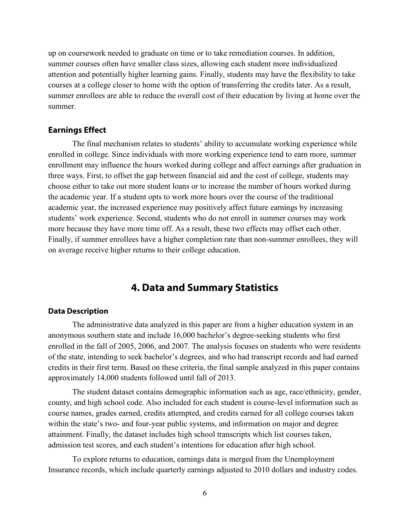up on coursework needed to graduate on time or to take remediation courses. In addition, summer courses often have smaller class sizes, allowing each student more individualized attention and potentially higher learning gains. Finally, students may have the flexibility to take courses at a college closer to home with the option of transferring the credits later. As a result, summer enrollees are able to reduce the overall cost of their education by living at home over the summer.

### <span id="page-9-0"></span>**Earnings Effect**

The final mechanism relates to students' ability to accumulate working experience while enrolled in college. Since individuals with more working experience tend to earn more, summer enrollment may influence the hours worked during college and affect earnings after graduation in three ways. First, to offset the gap between financial aid and the cost of college, students may choose either to take out more student loans or to increase the number of hours worked during the academic year. If a student opts to work more hours over the course of the traditional academic year, the increased experience may positively affect future earnings by increasing students' work experience. Second, students who do not enroll in summer courses may work more because they have more time off. As a result, these two effects may offset each other. Finally, if summer enrollees have a higher completion rate than non-summer enrollees, they will on average receive higher returns to their college education.

### **4. Data and Summary Statistics**

#### <span id="page-9-2"></span><span id="page-9-1"></span>**Data Description**

The administrative data analyzed in this paper are from a higher education system in an anonymous southern state and include 16,000 bachelor's degree-seeking students who first enrolled in the fall of 2005, 2006, and 2007. The analysis focuses on students who were residents of the state, intending to seek bachelor's degrees, and who had transcript records and had earned credits in their first term. Based on these criteria, the final sample analyzed in this paper contains approximately 14,000 students followed until fall of 2013.

The student dataset contains demographic information such as age, race/ethnicity, gender, county, and high school code. Also included for each student is course-level information such as course names, grades earned, credits attempted, and credits earned for all college courses taken within the state's two- and four-year public systems, and information on major and degree attainment. Finally, the dataset includes high school transcripts which list courses taken, admission test scores, and each student's intentions for education after high school.

To explore returns to education, earnings data is merged from the Unemployment Insurance records, which include quarterly earnings adjusted to 2010 dollars and industry codes.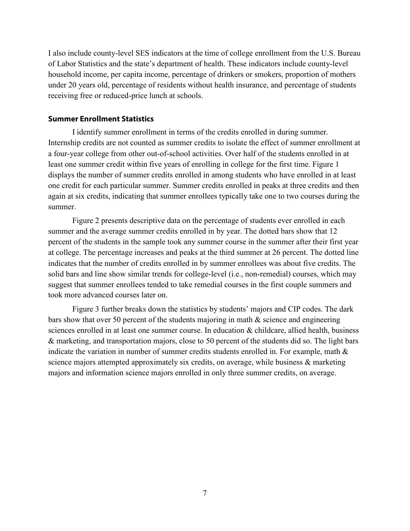I also include county-level SES indicators at the time of college enrollment from the U.S. Bureau of Labor Statistics and the state's department of health. These indicators include county-level household income, per capita income, percentage of drinkers or smokers, proportion of mothers under 20 years old, percentage of residents without health insurance, and percentage of students receiving free or reduced-price lunch at schools.

#### <span id="page-10-0"></span>**Summer Enrollment Statistics**

I identify summer enrollment in terms of the credits enrolled in during summer. Internship credits are not counted as summer credits to isolate the effect of summer enrollment at a four-year college from other out-of-school activities. Over half of the students enrolled in at least one summer credit within five years of enrolling in college for the first time. Figure 1 displays the number of summer credits enrolled in among students who have enrolled in at least one credit for each particular summer. Summer credits enrolled in peaks at three credits and then again at six credits, indicating that summer enrollees typically take one to two courses during the summer.

Figure 2 presents descriptive data on the percentage of students ever enrolled in each summer and the average summer credits enrolled in by year. The dotted bars show that 12 percent of the students in the sample took any summer course in the summer after their first year at college. The percentage increases and peaks at the third summer at 26 percent. The dotted line indicates that the number of credits enrolled in by summer enrollees was about five credits. The solid bars and line show similar trends for college-level (i.e., non-remedial) courses, which may suggest that summer enrollees tended to take remedial courses in the first couple summers and took more advanced courses later on.

Figure 3 further breaks down the statistics by students' majors and CIP codes. The dark bars show that over 50 percent of the students majoring in math & science and engineering sciences enrolled in at least one summer course. In education & childcare, allied health, business & marketing, and transportation majors, close to 50 percent of the students did so. The light bars indicate the variation in number of summer credits students enrolled in. For example, math & science majors attempted approximately six credits, on average, while business  $\&$  marketing majors and information science majors enrolled in only three summer credits, on average.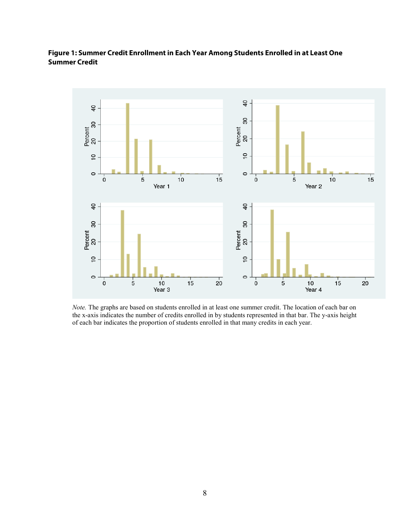### **Figure 1: Summer Credit Enrollment in Each Year Among Students Enrolled in at Least One Summer Credit**



*Note.* The graphs are based on students enrolled in at least one summer credit. The location of each bar on the x-axis indicates the number of credits enrolled in by students represented in that bar. The y-axis height of each bar indicates the proportion of students enrolled in that many credits in each year.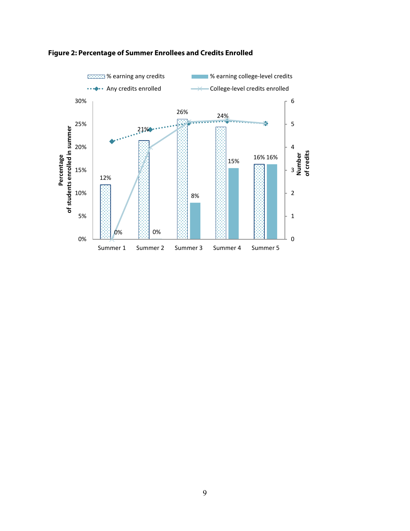

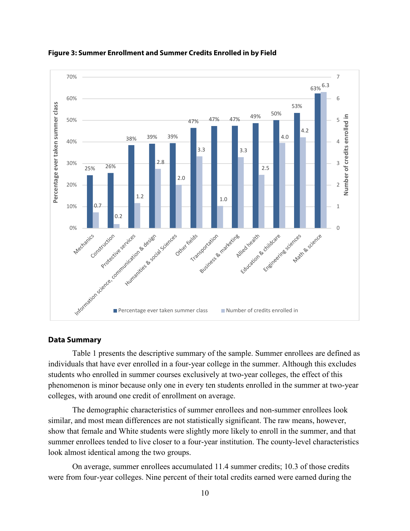

**Figure 3: Summer Enrollment and Summer Credits Enrolled in by Field**

#### <span id="page-13-0"></span>**Data Summary**

Table 1 presents the descriptive summary of the sample. Summer enrollees are defined as individuals that have ever enrolled in a four-year college in the summer. Although this excludes students who enrolled in summer courses exclusively at two-year colleges, the effect of this phenomenon is minor because only one in every ten students enrolled in the summer at two-year colleges, with around one credit of enrollment on average.

The demographic characteristics of summer enrollees and non-summer enrollees look similar, and most mean differences are not statistically significant. The raw means, however, show that female and White students were slightly more likely to enroll in the summer, and that summer enrollees tended to live closer to a four-year institution. The county-level characteristics look almost identical among the two groups.

On average, summer enrollees accumulated 11.4 summer credits; 10.3 of those credits were from four-year colleges. Nine percent of their total credits earned were earned during the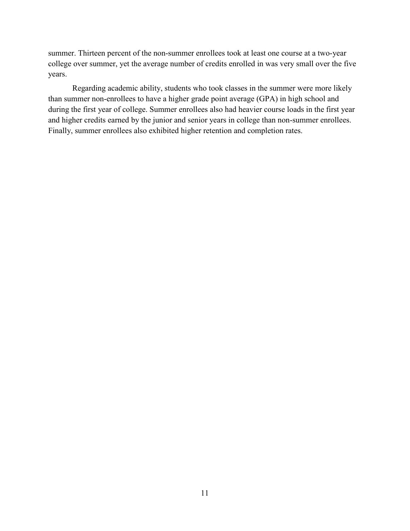summer. Thirteen percent of the non-summer enrollees took at least one course at a two-year college over summer, yet the average number of credits enrolled in was very small over the five years.

Regarding academic ability, students who took classes in the summer were more likely than summer non-enrollees to have a higher grade point average (GPA) in high school and during the first year of college. Summer enrollees also had heavier course loads in the first year and higher credits earned by the junior and senior years in college than non-summer enrollees. Finally, summer enrollees also exhibited higher retention and completion rates.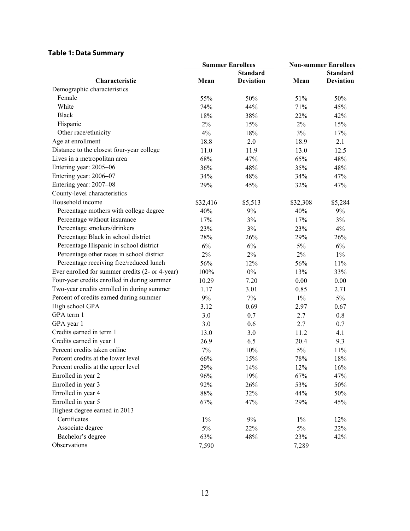### **Table 1: Data Summary**

|                                                 | <b>Summer Enrollees</b> |                  | <b>Non-summer Enrollees</b> |                  |
|-------------------------------------------------|-------------------------|------------------|-----------------------------|------------------|
|                                                 |                         | <b>Standard</b>  |                             | <b>Standard</b>  |
| Characteristic                                  | Mean                    | <b>Deviation</b> | Mean                        | <b>Deviation</b> |
| Demographic characteristics                     |                         |                  |                             |                  |
| Female                                          | 55%                     | 50%              | 51%                         | 50%              |
| White                                           | 74%                     | 44%              | 71%                         | 45%              |
| <b>Black</b>                                    | 18%                     | 38%              | 22%                         | 42%              |
| Hispanic                                        | 2%                      | 15%              | $2\%$                       | 15%              |
| Other race/ethnicity                            | 4%                      | 18%              | 3%                          | 17%              |
| Age at enrollment                               | 18.8                    | 2.0              | 18.9                        | 2.1              |
| Distance to the closest four-year college       | 11.0                    | 11.9             | 13.0                        | 12.5             |
| Lives in a metropolitan area                    | 68%                     | 47%              | 65%                         | 48%              |
| Entering year: 2005-06                          | 36%                     | 48%              | 35%                         | 48%              |
| Entering year: 2006-07                          | 34%                     | 48%              | 34%                         | 47%              |
| Entering year: 2007-08                          | 29%                     | 45%              | 32%                         | 47%              |
| County-level characteristics                    |                         |                  |                             |                  |
| Household income                                | \$32,416                | \$5,513          | \$32,308                    | \$5,284          |
| Percentage mothers with college degree          | 40%                     | 9%               | 40%                         | 9%               |
| Percentage without insurance                    | 17%                     | 3%               | 17%                         | 3%               |
| Percentage smokers/drinkers                     | 23%                     | 3%               | 23%                         | 4%               |
| Percentage Black in school district             | 28%                     | 26%              | 29%                         | 26%              |
| Percentage Hispanic in school district          | 6%                      | 6%               | 5%                          | 6%               |
| Percentage other races in school district       | 2%                      | $2\%$            | $2\%$                       | $1\%$            |
| Percentage receiving free/reduced lunch         | 56%                     | 12%              | 56%                         | 11%              |
| Ever enrolled for summer credits (2- or 4-year) | 100%                    | $0\%$            | 13%                         | 33%              |
| Four-year credits enrolled in during summer     | 10.29                   | 7.20             | 0.00                        | 0.00             |
| Two-year credits enrolled in during summer      | 1.17                    | 3.01             | 0.85                        | 2.71             |
| Percent of credits earned during summer         | $9\%$                   | $7\%$            | $1\%$                       | $5\%$            |
| High school GPA                                 | 3.12                    | 0.69             | 2.97                        | 0.67             |
| GPA term 1                                      | 3.0                     | 0.7              | 2.7                         | 0.8              |
| GPA year 1                                      | 3.0                     | 0.6              | 2.7                         | 0.7              |
| Credits earned in term 1                        | 13.0                    | 3.0              | 11.2                        | 4.1              |
| Credits earned in year 1                        | 26.9                    | 6.5              | 20.4                        | 9.3              |
| Percent credits taken online                    | 7%                      | 10%              | $5\%$                       | 11%              |
| Percent credits at the lower level              | 66%                     | 15%              | 78%                         | 18%              |
| Percent credits at the upper level              | 29%                     | 14%              | 12%                         | 16%              |
| Enrolled in year 2                              | 96%                     | 19%              | 67%                         | 47%              |
| Enrolled in year 3                              | 92%                     | 26%              | 53%                         | 50%              |
| Enrolled in year 4                              | $88\%$                  | 32%              | 44%                         | 50%              |
| Enrolled in year 5                              | 67%                     | 47%              | 29%                         | 45%              |
| Highest degree earned in 2013                   |                         |                  |                             |                  |
| Certificates                                    | $1\%$                   | 9%               | $1\%$                       | 12%              |
| Associate degree                                | $5\%$                   | 22%              | 5%                          | 22%              |
| Bachelor's degree                               | 63%                     | 48%              | 23%                         | 42%              |
| Observations                                    | 7,590                   |                  | 7,289                       |                  |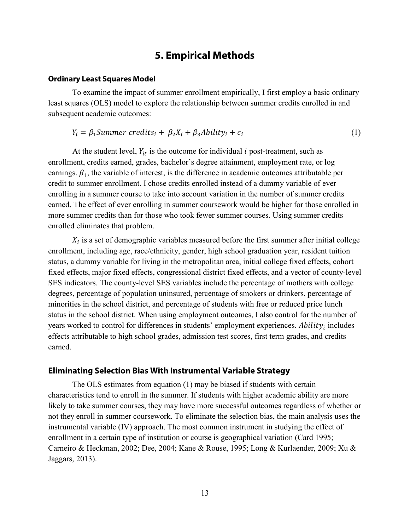### **5. Empirical Methods**

#### <span id="page-16-1"></span><span id="page-16-0"></span>**Ordinary Least Squares Model**

To examine the impact of summer enrollment empirically, I first employ a basic ordinary least squares (OLS) model to explore the relationship between summer credits enrolled in and subsequent academic outcomes:

$$
Y_i = \beta_1 Summer\,crelits_i + \beta_2 X_i + \beta_3 Ability_i + \epsilon_i \tag{1}
$$

At the student level,  $Y_{it}$  is the outcome for individual *i* post-treatment, such as enrollment, credits earned, grades, bachelor's degree attainment, employment rate, or log earnings.  $\beta_1$ , the variable of interest, is the difference in academic outcomes attributable per credit to summer enrollment. I chose credits enrolled instead of a dummy variable of ever enrolling in a summer course to take into account variation in the number of summer credits earned. The effect of ever enrolling in summer coursework would be higher for those enrolled in more summer credits than for those who took fewer summer courses. Using summer credits enrolled eliminates that problem.

 $X_i$  is a set of demographic variables measured before the first summer after initial college enrollment, including age, race/ethnicity, gender, high school graduation year, resident tuition status, a dummy variable for living in the metropolitan area, initial college fixed effects, cohort fixed effects, major fixed effects, congressional district fixed effects, and a vector of county-level SES indicators. The county-level SES variables include the percentage of mothers with college degrees, percentage of population uninsured, percentage of smokers or drinkers, percentage of minorities in the school district, and percentage of students with free or reduced price lunch status in the school district. When using employment outcomes, I also control for the number of years worked to control for differences in students' employment experiences.  $\Delta \text{bility}_i$  includes effects attributable to high school grades, admission test scores, first term grades, and credits earned.

### <span id="page-16-2"></span>**Eliminating Selection Bias With Instrumental Variable Strategy**

The OLS estimates from equation (1) may be biased if students with certain characteristics tend to enroll in the summer. If students with higher academic ability are more likely to take summer courses, they may have more successful outcomes regardless of whether or not they enroll in summer coursework. To eliminate the selection bias, the main analysis uses the instrumental variable (IV) approach. The most common instrument in studying the effect of enrollment in a certain type of institution or course is geographical variation (Card 1995; Carneiro & Heckman, 2002; Dee, 2004; Kane & Rouse, 1995; Long & Kurlaender, 2009; Xu & Jaggars, 2013).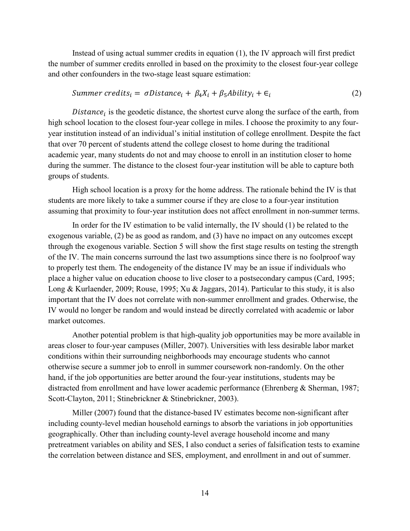Instead of using actual summer credits in equation (1), the IV approach will first predict the number of summer credits enrolled in based on the proximity to the closest four-year college and other confounders in the two-stage least square estimation:

$$
Summer\, and \quad s_i = \sigma Distance_i + \beta_4 X_i + \beta_5 Ability_i + \epsilon_i \tag{2}
$$

Distance, is the geodetic distance, the shortest curve along the surface of the earth, from high school location to the closest four-year college in miles. I choose the proximity to any fouryear institution instead of an individual's initial institution of college enrollment. Despite the fact that over 70 percent of students attend the college closest to home during the traditional academic year, many students do not and may choose to enroll in an institution closer to home during the summer. The distance to the closest four-year institution will be able to capture both groups of students.

High school location is a proxy for the home address. The rationale behind the IV is that students are more likely to take a summer course if they are close to a four-year institution assuming that proximity to four-year institution does not affect enrollment in non-summer terms.

In order for the IV estimation to be valid internally, the IV should (1) be related to the exogenous variable, (2) be as good as random, and (3) have no impact on any outcomes except through the exogenous variable. Section 5 will show the first stage results on testing the strength of the IV. The main concerns surround the last two assumptions since there is no foolproof way to properly test them. The endogeneity of the distance IV may be an issue if individuals who place a higher value on education choose to live closer to a postsecondary campus (Card, 1995; Long & Kurlaender, 2009; Rouse, 1995; Xu & Jaggars, 2014). Particular to this study, it is also important that the IV does not correlate with non-summer enrollment and grades. Otherwise, the IV would no longer be random and would instead be directly correlated with academic or labor market outcomes.

Another potential problem is that high-quality job opportunities may be more available in areas closer to four-year campuses (Miller, 2007). Universities with less desirable labor market conditions within their surrounding neighborhoods may encourage students who cannot otherwise secure a summer job to enroll in summer coursework non-randomly. On the other hand, if the job opportunities are better around the four-year institutions, students may be distracted from enrollment and have lower academic performance (Ehrenberg & Sherman, 1987; Scott-Clayton, 2011; Stinebrickner & Stinebrickner, 2003).

Miller (2007) found that the distance-based IV estimates become non-significant after including county-level median household earnings to absorb the variations in job opportunities geographically. Other than including county-level average household income and many pretreatment variables on ability and SES, I also conduct a series of falsification tests to examine the correlation between distance and SES, employment, and enrollment in and out of summer.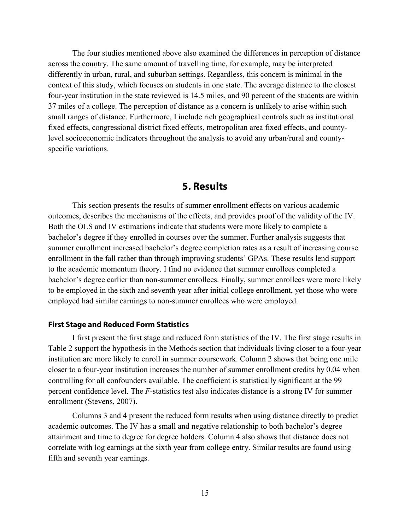The four studies mentioned above also examined the differences in perception of distance across the country. The same amount of travelling time, for example, may be interpreted differently in urban, rural, and suburban settings. Regardless, this concern is minimal in the context of this study, which focuses on students in one state. The average distance to the closest four-year institution in the state reviewed is 14.5 miles, and 90 percent of the students are within 37 miles of a college. The perception of distance as a concern is unlikely to arise within such small ranges of distance. Furthermore, I include rich geographical controls such as institutional fixed effects, congressional district fixed effects, metropolitan area fixed effects, and countylevel socioeconomic indicators throughout the analysis to avoid any urban/rural and countyspecific variations.

### **5. Results**

<span id="page-18-0"></span>This section presents the results of summer enrollment effects on various academic outcomes, describes the mechanisms of the effects, and provides proof of the validity of the IV. Both the OLS and IV estimations indicate that students were more likely to complete a bachelor's degree if they enrolled in courses over the summer. Further analysis suggests that summer enrollment increased bachelor's degree completion rates as a result of increasing course enrollment in the fall rather than through improving students' GPAs. These results lend support to the academic momentum theory. I find no evidence that summer enrollees completed a bachelor's degree earlier than non-summer enrollees. Finally, summer enrollees were more likely to be employed in the sixth and seventh year after initial college enrollment, yet those who were employed had similar earnings to non-summer enrollees who were employed.

### <span id="page-18-1"></span>**First Stage and Reduced Form Statistics**

I first present the first stage and reduced form statistics of the IV. The first stage results in Table 2 support the hypothesis in the Methods section that individuals living closer to a four-year institution are more likely to enroll in summer coursework. Column 2 shows that being one mile closer to a four-year institution increases the number of summer enrollment credits by 0.04 when controlling for all confounders available. The coefficient is statistically significant at the 99 percent confidence level. The *F*-statistics test also indicates distance is a strong IV for summer enrollment (Stevens, 2007).

Columns 3 and 4 present the reduced form results when using distance directly to predict academic outcomes. The IV has a small and negative relationship to both bachelor's degree attainment and time to degree for degree holders. Column 4 also shows that distance does not correlate with log earnings at the sixth year from college entry. Similar results are found using fifth and seventh year earnings.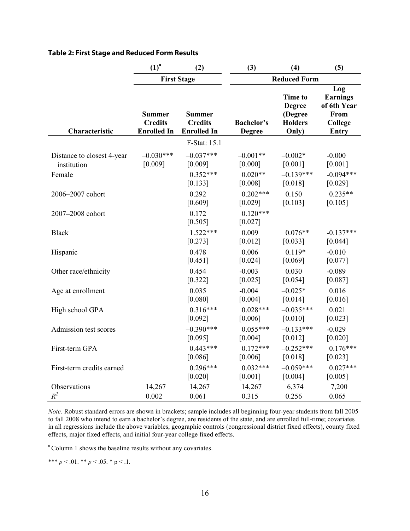|                                                     | $(1)^{a}$                                             | (2)                                                   | (3)                                | (4)                                                                   | (5)                                                                      |  |
|-----------------------------------------------------|-------------------------------------------------------|-------------------------------------------------------|------------------------------------|-----------------------------------------------------------------------|--------------------------------------------------------------------------|--|
|                                                     |                                                       | <b>First Stage</b>                                    |                                    | <b>Reduced Form</b>                                                   |                                                                          |  |
| Characteristic                                      | <b>Summer</b><br><b>Credits</b><br><b>Enrolled In</b> | <b>Summer</b><br><b>Credits</b><br><b>Enrolled In</b> | <b>Bachelor's</b><br><b>Degree</b> | <b>Time to</b><br><b>Degree</b><br>(Degree<br><b>Holders</b><br>Only) | Log<br><b>Earnings</b><br>of 6th Year<br>From<br>College<br><b>Entry</b> |  |
|                                                     |                                                       | F-Stat: 15.1                                          |                                    |                                                                       |                                                                          |  |
| Distance to closest 4-year<br>institution<br>Female | $-0.030***$<br>[0.009]                                | $-0.037***$<br>[0.009]<br>$0.352***$                  | $-0.001**$<br>[0.000]<br>$0.020**$ | $-0.002*$<br>[0.001]<br>$-0.139***$                                   | $-0.000$<br>[0.001]<br>$-0.094***$                                       |  |
|                                                     |                                                       | [0.133]                                               | [0.008]                            | [0.018]                                                               | [0.029]                                                                  |  |
| 2006-2007 cohort                                    |                                                       | 0.292<br>[0.609]                                      | $0.202***$<br>[0.029]              | 0.150<br>[0.103]                                                      | $0.235**$<br>[0.105]                                                     |  |
| 2007-2008 cohort                                    |                                                       | 0.172<br>[0.505]                                      | $0.120***$<br>[0.027]              |                                                                       |                                                                          |  |
| <b>Black</b>                                        |                                                       | $1.522***$<br>[0.273]                                 | 0.009<br>[0.012]                   | $0.076**$<br>[0.033]                                                  | $-0.137***$<br>[0.044]                                                   |  |
| Hispanic                                            |                                                       | 0.478<br>[0.451]                                      | 0.006<br>[0.024]                   | $0.119*$<br>[0.069]                                                   | $-0.010$<br>[0.077]                                                      |  |
| Other race/ethnicity                                |                                                       | 0.454<br>[0.322]                                      | $-0.003$<br>[0.025]                | 0.030<br>[0.054]                                                      | $-0.089$<br>[0.087]                                                      |  |
| Age at enrollment                                   |                                                       | 0.035<br>[0.080]                                      | $-0.004$<br>[0.004]                | $-0.025*$<br>[0.014]                                                  | 0.016<br>[0.016]                                                         |  |
| High school GPA                                     |                                                       | $0.316***$<br>[0.092]                                 | $0.028***$<br>[0.006]              | $-0.035***$<br>[0.010]                                                | 0.021<br>[0.023]                                                         |  |
| Admission test scores                               |                                                       | $-0.390***$<br>[0.095]                                | $0.055***$<br>[0.004]              | $-0.133***$<br>[0.012]                                                | $-0.029$<br>[0.020]                                                      |  |
| First-term GPA                                      |                                                       | $0.443***$<br>[0.086]                                 | $0.172***$<br>[0.006]              | $-0.252***$<br>[0.018]                                                | $0.176***$<br>[0.023]                                                    |  |
| First-term credits earned                           |                                                       | $0.296***$<br>[0.020]                                 | $0.032***$<br>[0.001]              | $-0.059***$<br>[0.004]                                                | $0.027***$<br>[0.005]                                                    |  |
| Observations<br>$R^2$                               | 14,267<br>0.002                                       | 14,267<br>0.061                                       | 14,267<br>0.315                    | 6,374<br>0.256                                                        | 7,200<br>0.065                                                           |  |

#### **Table 2: First Stage and Reduced Form Results**

*Note.* Robust standard errors are shown in brackets; sample includes all beginning four-year students from fall 2005 to fall 2008 who intend to earn a bachelor's degree, are residents of the state, and are enrolled full-time; covariates in all regressions include the above variables, geographic controls (congressional district fixed effects), county fixed effects, major fixed effects, and initial four-year college fixed effects.

<sup>a</sup> Column 1 shows the baseline results without any covariates.

\*\*\*  $p < 0.01$ . \*\*  $p < 0.05$ . \* p < .1.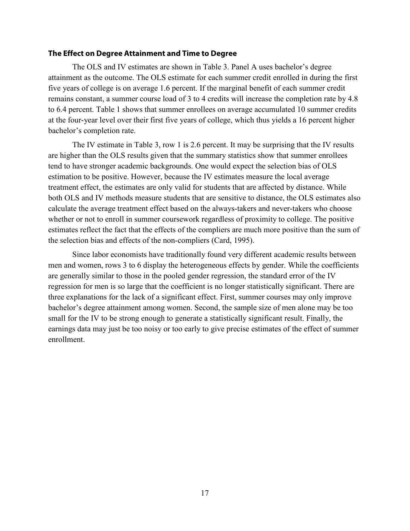#### <span id="page-20-0"></span>**The Effect on Degree Attainment and Time to Degree**

The OLS and IV estimates are shown in Table 3. Panel A uses bachelor's degree attainment as the outcome. The OLS estimate for each summer credit enrolled in during the first five years of college is on average 1.6 percent. If the marginal benefit of each summer credit remains constant, a summer course load of 3 to 4 credits will increase the completion rate by 4.8 to 6.4 percent. Table 1 shows that summer enrollees on average accumulated 10 summer credits at the four-year level over their first five years of college, which thus yields a 16 percent higher bachelor's completion rate.

The IV estimate in Table 3, row 1 is 2.6 percent. It may be surprising that the IV results are higher than the OLS results given that the summary statistics show that summer enrollees tend to have stronger academic backgrounds. One would expect the selection bias of OLS estimation to be positive. However, because the IV estimates measure the local average treatment effect, the estimates are only valid for students that are affected by distance. While both OLS and IV methods measure students that are sensitive to distance, the OLS estimates also calculate the average treatment effect based on the always-takers and never-takers who choose whether or not to enroll in summer coursework regardless of proximity to college. The positive estimates reflect the fact that the effects of the compliers are much more positive than the sum of the selection bias and effects of the non-compliers (Card, 1995).

Since labor economists have traditionally found very different academic results between men and women, rows 3 to 6 display the heterogeneous effects by gender. While the coefficients are generally similar to those in the pooled gender regression, the standard error of the IV regression for men is so large that the coefficient is no longer statistically significant. There are three explanations for the lack of a significant effect. First, summer courses may only improve bachelor's degree attainment among women. Second, the sample size of men alone may be too small for the IV to be strong enough to generate a statistically significant result. Finally, the earnings data may just be too noisy or too early to give precise estimates of the effect of summer enrollment.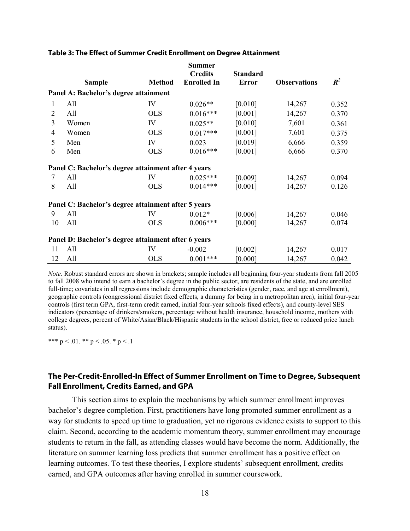|                |                                                     |               | <b>Summer</b>      |                 |                     |       |
|----------------|-----------------------------------------------------|---------------|--------------------|-----------------|---------------------|-------|
|                |                                                     |               | <b>Credits</b>     | <b>Standard</b> |                     |       |
|                | <b>Sample</b>                                       | <b>Method</b> | <b>Enrolled In</b> | <b>Error</b>    | <b>Observations</b> | $R^2$ |
|                | Panel A: Bachelor's degree attainment               |               |                    |                 |                     |       |
| 1              | All                                                 | IV            | $0.026**$          | [0.010]         | 14,267              | 0.352 |
| $\overline{2}$ | All                                                 | <b>OLS</b>    | $0.016***$         | [0.001]         | 14,267              | 0.370 |
| $\overline{3}$ | Women                                               | IV            | $0.025**$          | [0.010]         | 7,601               | 0.361 |
| $\overline{4}$ | Women                                               | <b>OLS</b>    | $0.017***$         | [0.001]         | 7,601               | 0.375 |
| 5              | Men                                                 | IV            | 0.023              | [0.019]         | 6,666               | 0.359 |
| 6              | Men                                                 | <b>OLS</b>    | $0.016***$         | [0.001]         | 6,666               | 0.370 |
|                | Panel C: Bachelor's degree attainment after 4 years |               |                    |                 |                     |       |
| 7              | All                                                 | IV            | $0.025***$         | [0.009]         | 14,267              | 0.094 |
| 8              | All                                                 | <b>OLS</b>    | $0.014***$         | [0.001]         | 14,267              | 0.126 |
|                | Panel C: Bachelor's degree attainment after 5 years |               |                    |                 |                     |       |
| 9              | All                                                 | IV            | $0.012*$           | [0.006]         | 14,267              | 0.046 |
| 10             | All                                                 | <b>OLS</b>    | $0.006***$         | [0.000]         | 14,267              | 0.074 |
|                | Panel D: Bachelor's degree attainment after 6 years |               |                    |                 |                     |       |
| 11             | All                                                 | IV            | $-0.002$           | [0.002]         | 14,267              | 0.017 |
| 12             | All                                                 | <b>OLS</b>    | $0.001***$         | [0.000]         | 14,267              | 0.042 |

#### **Table 3: The Effect of Summer Credit Enrollment on Degree Attainment**

*Note*. Robust standard errors are shown in brackets; sample includes all beginning four-year students from fall 2005 to fall 2008 who intend to earn a bachelor's degree in the public sector, are residents of the state, and are enrolled full-time; covariates in all regressions include demographic characteristics (gender, race, and age at enrollment), geographic controls (congressional district fixed effects, a dummy for being in a metropolitan area), initial four-year controls (first term GPA, first-term credit earned, initial four-year schools fixed effects), and county-level SES indicators (percentage of drinkers/smokers, percentage without health insurance, household income, mothers with college degrees, percent of White/Asian/Black/Hispanic students in the school district, free or reduced price lunch status).

\*\*\*  $p < 0.01$ . \*\*  $p < 0.05$ . \*  $p < 0.1$ 

### <span id="page-21-0"></span>**The Per-Credit-Enrolled-In Effect of Summer Enrollment on Time to Degree, Subsequent Fall Enrollment, Credits Earned, and GPA**

This section aims to explain the mechanisms by which summer enrollment improves bachelor's degree completion. First, practitioners have long promoted summer enrollment as a way for students to speed up time to graduation, yet no rigorous evidence exists to support to this claim. Second, according to the academic momentum theory, summer enrollment may encourage students to return in the fall, as attending classes would have become the norm. Additionally, the literature on summer learning loss predicts that summer enrollment has a positive effect on learning outcomes. To test these theories, I explore students' subsequent enrollment, credits earned, and GPA outcomes after having enrolled in summer coursework.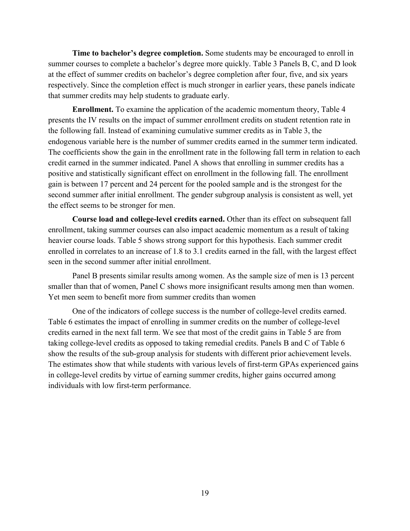**Time to bachelor's degree completion.** Some students may be encouraged to enroll in summer courses to complete a bachelor's degree more quickly. Table 3 Panels B, C, and D look at the effect of summer credits on bachelor's degree completion after four, five, and six years respectively. Since the completion effect is much stronger in earlier years, these panels indicate that summer credits may help students to graduate early.

**Enrollment.** To examine the application of the academic momentum theory, Table 4 presents the IV results on the impact of summer enrollment credits on student retention rate in the following fall. Instead of examining cumulative summer credits as in Table 3, the endogenous variable here is the number of summer credits earned in the summer term indicated. The coefficients show the gain in the enrollment rate in the following fall term in relation to each credit earned in the summer indicated. Panel A shows that enrolling in summer credits has a positive and statistically significant effect on enrollment in the following fall. The enrollment gain is between 17 percent and 24 percent for the pooled sample and is the strongest for the second summer after initial enrollment. The gender subgroup analysis is consistent as well, yet the effect seems to be stronger for men.

**Course load and college-level credits earned.** Other than its effect on subsequent fall enrollment, taking summer courses can also impact academic momentum as a result of taking heavier course loads. Table 5 shows strong support for this hypothesis. Each summer credit enrolled in correlates to an increase of 1.8 to 3.1 credits earned in the fall, with the largest effect seen in the second summer after initial enrollment.

Panel B presents similar results among women. As the sample size of men is 13 percent smaller than that of women, Panel C shows more insignificant results among men than women. Yet men seem to benefit more from summer credits than women

One of the indicators of college success is the number of college-level credits earned. Table 6 estimates the impact of enrolling in summer credits on the number of college-level credits earned in the next fall term. We see that most of the credit gains in Table 5 are from taking college-level credits as opposed to taking remedial credits. Panels B and C of Table 6 show the results of the sub-group analysis for students with different prior achievement levels. The estimates show that while students with various levels of first-term GPAs experienced gains in college-level credits by virtue of earning summer credits, higher gains occurred among individuals with low first-term performance.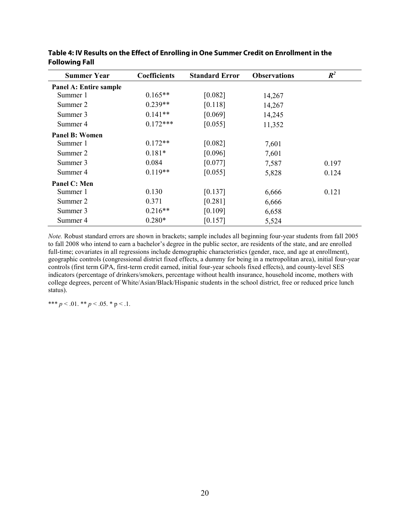| <b>Summer Year</b>     | <b>Coefficients</b> | <b>Standard Error</b> | <b>Observations</b> | $R^2$ |
|------------------------|---------------------|-----------------------|---------------------|-------|
| Panel A: Entire sample |                     |                       |                     |       |
| Summer 1               | $0.165**$           | [0.082]               | 14,267              |       |
| Summer 2               | $0.239**$           | [0.118]               | 14,267              |       |
| Summer 3               | $0.141**$           | [0.069]               | 14,245              |       |
| Summer 4               | $0.172***$          | [0.055]               | 11,352              |       |
| Panel B: Women         |                     |                       |                     |       |
| Summer 1               | $0.172**$           | [0.082]               | 7,601               |       |
| Summer 2               | $0.181*$            | [0.096]               | 7,601               |       |
| Summer 3               | 0.084               | [0.077]               | 7,587               | 0.197 |
| Summer 4               | $0.119**$           | [0.055]               | 5,828               | 0.124 |
| Panel C: Men           |                     |                       |                     |       |
| Summer 1               | 0.130               | [0.137]               | 6,666               | 0.121 |
| Summer 2               | 0.371               | [0.281]               | 6,666               |       |
| Summer 3               | $0.216**$           | [0.109]               | 6,658               |       |
| Summer 4               | $0.280*$            | [0.157]               | 5,524               |       |

**Table 4: IV Results on the Effect of Enrolling in One Summer Credit on Enrollment in the Following Fall**

\*\*\*  $p < 0.01$ . \*\*  $p < 0.05$ . \*  $p < 0.1$ .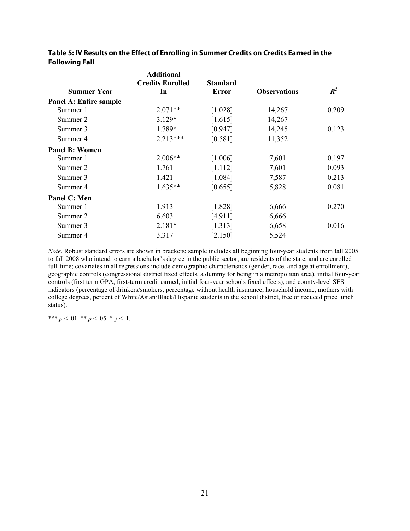|                        | <b>Additional</b>             |                                 |                     |       |
|------------------------|-------------------------------|---------------------------------|---------------------|-------|
| <b>Summer Year</b>     | <b>Credits Enrolled</b><br>In | <b>Standard</b><br><b>Error</b> | <b>Observations</b> | $R^2$ |
| Panel A: Entire sample |                               |                                 |                     |       |
| Summer 1               | $2.071**$                     | [1.028]                         | 14,267              | 0.209 |
|                        |                               |                                 |                     |       |
| Summer 2               | $3.129*$                      | [1.615]                         | 14,267              |       |
| Summer 3               | 1.789*                        | [0.947]                         | 14,245              | 0.123 |
| Summer 4               | $2.213***$                    | [0.581]                         | 11,352              |       |
| <b>Panel B: Women</b>  |                               |                                 |                     |       |
| Summer 1               | $2.006**$                     | [1.006]                         | 7,601               | 0.197 |
| Summer 2               | 1.761                         | [1.112]                         | 7,601               | 0.093 |
| Summer 3               | 1.421                         | [1.084]                         | 7,587               | 0.213 |
| Summer 4               | $1.635**$                     | [0.655]                         | 5,828               | 0.081 |
| Panel C: Men           |                               |                                 |                     |       |
| Summer 1               | 1.913                         | [1.828]                         | 6,666               | 0.270 |
| Summer 2               | 6.603                         | [4.911]                         | 6,666               |       |
| Summer 3               | $2.181*$                      | [1.313]                         | 6,658               | 0.016 |
| Summer 4               | 3.317                         | [2.150]                         | 5,524               |       |

**Table 5: IV Results on the Effect of Enrolling in Summer Credits on Credits Earned in the Following Fall**

\*\*\*  $p < 0.01$ . \*\*  $p < 0.05$ . \*  $p < 0.1$ .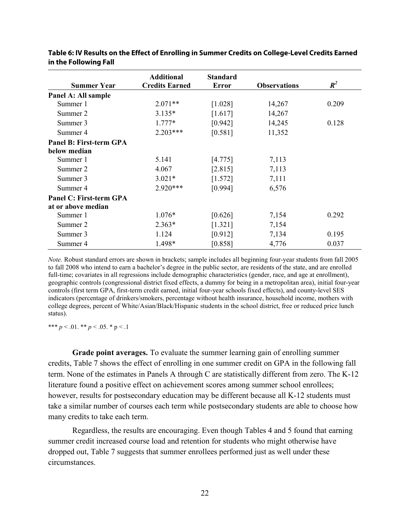|                                | <b>Additional</b>     | <b>Standard</b> |                     |       |
|--------------------------------|-----------------------|-----------------|---------------------|-------|
| <b>Summer Year</b>             | <b>Credits Earned</b> | <b>Error</b>    | <b>Observations</b> | $R^2$ |
| Panel A: All sample            |                       |                 |                     |       |
| Summer 1                       | $2.071**$             | [1.028]         | 14,267              | 0.209 |
| Summer 2                       | $3.135*$              | [1.617]         | 14,267              |       |
| Summer 3                       | $1.777*$              | [0.942]         | 14,245              | 0.128 |
| Summer 4                       | $2.203***$            | [0.581]         | 11,352              |       |
| <b>Panel B: First-term GPA</b> |                       |                 |                     |       |
| below median                   |                       |                 |                     |       |
| Summer 1                       | 5.141                 | [4.775]         | 7,113               |       |
| Summer 2                       | 4.067                 | [2.815]         | 7,113               |       |
| Summer 3                       | $3.021*$              | [1.572]         | 7,111               |       |
| Summer 4                       | $2.920***$            | [0.994]         | 6,576               |       |
| <b>Panel C: First-term GPA</b> |                       |                 |                     |       |
| at or above median             |                       |                 |                     |       |
| Summer 1                       | $1.076*$              | [0.626]         | 7,154               | 0.292 |
| Summer 2                       | $2.363*$              | [1.321]         | 7,154               |       |
| Summer 3                       | 1.124                 | [0.912]         | 7,134               | 0.195 |
| Summer 4                       | 1.498*                | [0.858]         | 4,776               | 0.037 |

| Table 6: IV Results on the Effect of Enrolling in Summer Credits on College-Level Credits Earned |  |
|--------------------------------------------------------------------------------------------------|--|
| in the Following Fall                                                                            |  |

\*\*\*  $p < 0.01$ . \*\*  $p < 0.05$ . \*  $p < 0.1$ 

**Grade point averages.** To evaluate the summer learning gain of enrolling summer credits, Table 7 shows the effect of enrolling in one summer credit on GPA in the following fall term. None of the estimates in Panels A through C are statistically different from zero. The K-12 literature found a positive effect on achievement scores among summer school enrollees; however, results for postsecondary education may be different because all K-12 students must take a similar number of courses each term while postsecondary students are able to choose how many credits to take each term.

Regardless, the results are encouraging. Even though Tables 4 and 5 found that earning summer credit increased course load and retention for students who might otherwise have dropped out, Table 7 suggests that summer enrollees performed just as well under these circumstances.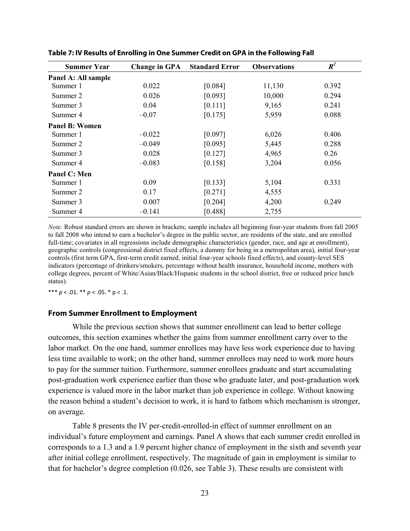| <b>Summer Year</b>    | <b>Change in GPA</b> | <b>Standard Error</b> | <b>Observations</b> | $R^2$ |
|-----------------------|----------------------|-----------------------|---------------------|-------|
| Panel A: All sample   |                      |                       |                     |       |
| Summer 1              | 0.022                | [0.084]               | 11,130              | 0.392 |
| Summer 2              | 0.026                | [0.093]               | 10,000              | 0.294 |
| Summer 3              | 0.04                 | [0.111]               | 9,165               | 0.241 |
| Summer 4              | $-0.07$              | [0.175]               | 5,959               | 0.088 |
| <b>Panel B: Women</b> |                      |                       |                     |       |
| Summer 1              | $-0.022$             | [0.097]               | 6,026               | 0.406 |
| Summer 2              | $-0.049$             | [0.095]               | 5,445               | 0.288 |
| Summer 3              | 0.028                | [0.127]               | 4,965               | 0.26  |
| Summer 4              | $-0.083$             | [0.158]               | 3,204               | 0.056 |
| Panel C: Men          |                      |                       |                     |       |
| Summer 1              | 0.09                 | [0.133]               | 5,104               | 0.331 |
| Summer 2              | 0.17                 | [0.271]               | 4,555               |       |
| Summer 3              | 0.007                | [0.204]               | 4,200               | 0.249 |
| Summer 4              | $-0.141$             | [0.488]               | 2,755               |       |

**Table 7: IV Results of Enrolling in One Summer Credit on GPA in the Following Fall**

<span id="page-26-0"></span>\*\*\*  $p < .01$ . \*\*  $p < .05$ . \*  $p < .1$ .

#### **From Summer Enrollment to Employment**

While the previous section shows that summer enrollment can lead to better college outcomes, this section examines whether the gains from summer enrollment carry over to the labor market. On the one hand, summer enrollees may have less work experience due to having less time available to work; on the other hand, summer enrollees may need to work more hours to pay for the summer tuition. Furthermore, summer enrollees graduate and start accumulating post-graduation work experience earlier than those who graduate later, and post-graduation work experience is valued more in the labor market than job experience in college. Without knowing the reason behind a student's decision to work, it is hard to fathom which mechanism is stronger, on average.

Table 8 presents the IV per-credit-enrolled-in effect of summer enrollment on an individual's future employment and earnings. Panel A shows that each summer credit enrolled in corresponds to a 1.3 and a 1.9 percent higher chance of employment in the sixth and seventh year after initial college enrollment, respectively. The magnitude of gain in employment is similar to that for bachelor's degree completion (0.026, see Table 3). These results are consistent with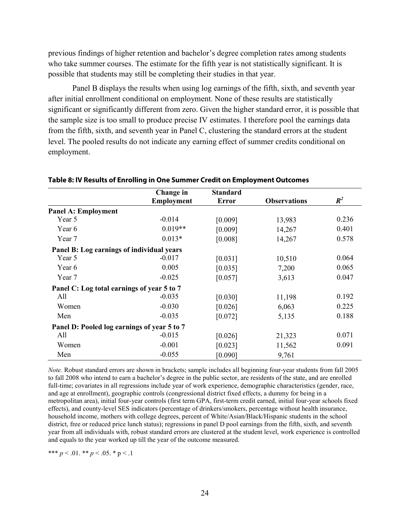previous findings of higher retention and bachelor's degree completion rates among students who take summer courses. The estimate for the fifth year is not statistically significant. It is possible that students may still be completing their studies in that year.

Panel B displays the results when using log earnings of the fifth, sixth, and seventh year after initial enrollment conditional on employment. None of these results are statistically significant or significantly different from zero. Given the higher standard error, it is possible that the sample size is too small to produce precise IV estimates. I therefore pool the earnings data from the fifth, sixth, and seventh year in Panel C, clustering the standard errors at the student level. The pooled results do not indicate any earning effect of summer credits conditional on employment.

|                                             | Change in         | <b>Standard</b> |                     |                |
|---------------------------------------------|-------------------|-----------------|---------------------|----------------|
|                                             | <b>Employment</b> | <b>Error</b>    | <b>Observations</b> | $\mathbb{R}^2$ |
| <b>Panel A: Employment</b>                  |                   |                 |                     |                |
| Year 5                                      | $-0.014$          | [0.009]         | 13,983              | 0.236          |
| Year 6                                      | $0.019**$         | [0.009]         | 14,267              | 0.401          |
| Year 7                                      | $0.013*$          | [0.008]         | 14,267              | 0.578          |
| Panel B: Log earnings of individual years   |                   |                 |                     |                |
| Year 5                                      | $-0.017$          | [0.031]         | 10,510              | 0.064          |
| Year 6                                      | 0.005             | [0.035]         | 7,200               | 0.065          |
| Year 7                                      | $-0.025$          | [0.057]         | 3,613               | 0.047          |
| Panel C: Log total earnings of year 5 to 7  |                   |                 |                     |                |
| All                                         | $-0.035$          | [0.030]         | 11,198              | 0.192          |
| Women                                       | $-0.030$          | [0.026]         | 6,063               | 0.225          |
| Men                                         | $-0.035$          | [0.072]         | 5,135               | 0.188          |
| Panel D: Pooled log earnings of year 5 to 7 |                   |                 |                     |                |
| All                                         | $-0.015$          | [0.026]         | 21,323              | 0.071          |
| Women                                       | $-0.001$          | [0.023]         | 11,562              | 0.091          |
| Men                                         | $-0.055$          | [0.090]         | 9,761               |                |

#### **Table 8: IV Results of Enrolling in One Summer Credit on Employment Outcomes**

*Note.* Robust standard errors are shown in brackets; sample includes all beginning four-year students from fall 2005 to fall 2008 who intend to earn a bachelor's degree in the public sector, are residents of the state, and are enrolled full-time; covariates in all regressions include year of work experience, demographic characteristics (gender, race, and age at enrollment), geographic controls (congressional district fixed effects, a dummy for being in a metropolitan area), initial four-year controls (first term GPA, first-term credit earned, initial four-year schools fixed effects), and county-level SES indicators (percentage of drinkers/smokers, percentage without health insurance, household income, mothers with college degrees, percent of White/Asian/Black/Hispanic students in the school district, free or reduced price lunch status); regressions in panel D pool earnings from the fifth, sixth, and seventh year from all individuals with, robust standard errors are clustered at the student level, work experience is controlled and equals to the year worked up till the year of the outcome measured.

\*\*\*  $p < .01$ . \*\*  $p < .05$ . \*  $p < .1$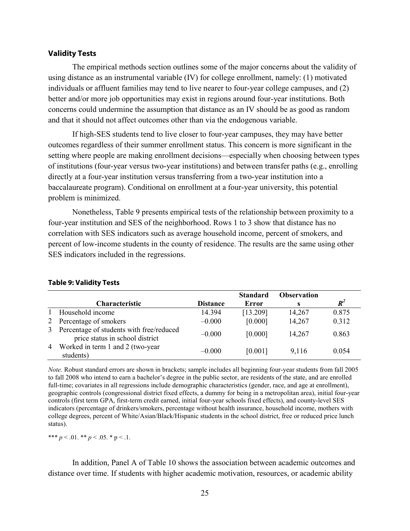#### <span id="page-28-0"></span>**Validity Tests**

The empirical methods section outlines some of the major concerns about the validity of using distance as an instrumental variable (IV) for college enrollment, namely: (1) motivated individuals or affluent families may tend to live nearer to four-year college campuses, and (2) better and/or more job opportunities may exist in regions around four-year institutions. Both concerns could undermine the assumption that distance as an IV should be as good as random and that it should not affect outcomes other than via the endogenous variable.

If high-SES students tend to live closer to four-year campuses, they may have better outcomes regardless of their summer enrollment status. This concern is more significant in the setting where people are making enrollment decisions—especially when choosing between types of institutions (four-year versus two-year institutions) and between transfer paths (e.g., enrolling directly at a four-year institution versus transferring from a two-year institution into a baccalaureate program). Conditional on enrollment at a four-year university, this potential problem is minimized.

Nonetheless, Table 9 presents empirical tests of the relationship between proximity to a four-year institution and SES of the neighborhood. Rows 1 to 3 show that distance has no correlation with SES indicators such as average household income, percent of smokers, and percent of low-income students in the county of residence. The results are the same using other SES indicators included in the regressions.

|   |                                                                               |                 | <b>Standard</b> | <b>Observation</b> |                    |
|---|-------------------------------------------------------------------------------|-----------------|-----------------|--------------------|--------------------|
|   | <b>Characteristic</b>                                                         | <b>Distance</b> | Error           |                    | $\boldsymbol{R}^2$ |
|   | Household income                                                              | 14.394          | [13.209]        | 14,267             | 0.875              |
| 2 | Percentage of smokers                                                         | $-0.000$        | [0.000]         | 14,267             | 0.312              |
|   | 3 Percentage of students with free/reduced<br>price status in school district | $-0.000$        | [0.000]         | 14,267             | 0.863              |
|   | 4 Worked in term 1 and 2 (two-year<br>students)                               | $-0.000$        | [0.001]         | 9,116              | 0.054              |

#### **Table 9: Validity Tests**

*Note.* Robust standard errors are shown in brackets; sample includes all beginning four-year students from fall 2005 to fall 2008 who intend to earn a bachelor's degree in the public sector, are residents of the state, and are enrolled full-time; covariates in all regressions include demographic characteristics (gender, race, and age at enrollment), geographic controls (congressional district fixed effects, a dummy for being in a metropolitan area), initial four-year controls (first term GPA, first-term credit earned, initial four-year schools fixed effects), and county-level SES indicators (percentage of drinkers/smokers, percentage without health insurance, household income, mothers with college degrees, percent of White/Asian/Black/Hispanic students in the school district, free or reduced price lunch status).

\*\*\*  $p < 0.01$ . \*\*  $p < 0.05$ . \* p < .1.

In addition, Panel A of Table 10 shows the association between academic outcomes and distance over time. If students with higher academic motivation, resources, or academic ability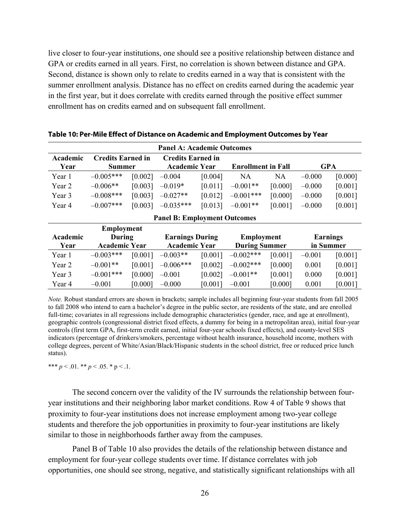live closer to four-year institutions, one should see a positive relationship between distance and GPA or credits earned in all years. First, no correlation is shown between distance and GPA. Second, distance is shown only to relate to credits earned in a way that is consistent with the summer enrollment analysis. Distance has no effect on credits earned during the academic year in the first year, but it does correlate with credits earned through the positive effect summer enrollment has on credits earned and on subsequent fall enrollment.

| <b>Panel A: Academic Outcomes</b> |                          |         |             |                          |              |                           |          |         |
|-----------------------------------|--------------------------|---------|-------------|--------------------------|--------------|---------------------------|----------|---------|
| Academic                          | <b>Credits Earned in</b> |         |             | <b>Credits Earned in</b> |              |                           |          |         |
| Year                              | <b>Summer</b>            |         |             | <b>Academic Year</b>     |              | <b>Enrollment in Fall</b> |          | GPA     |
| Year 1                            | $-0.005***$              | [0.002] | $-0.004$    | [0.004]                  | NA           | NA                        | $-0.000$ | [0.000] |
| Year 2                            | $-0.006**$               | [0.003] | $-0.019*$   | [0.011]                  | $-0.001**$   | [0.000]                   | $-0.000$ | [0.001] |
| Year 3                            | $-0.008$ ***             | [0.003] | $-0.027**$  | [0.012]                  | $-0.001$ *** | [0.000]                   | $-0.000$ | [0.001] |
| Year 4                            | $-0.007$ ***             | [0.003] | $-0.035***$ | [0.013]                  | $-0.001**$   | [0.001]                   | $-0.000$ | [0.001] |

**Panel B: Employment Outcomes**

**Table 10: Per-Mile Effect of Distance on Academic and Employment Outcomes by Year**

| r aner D; Employment Outcomes |                      |         |                        |         |                      |         |                 |         |
|-------------------------------|----------------------|---------|------------------------|---------|----------------------|---------|-----------------|---------|
| <b>Employment</b>             |                      |         |                        |         |                      |         |                 |         |
| Academic                      | During               |         | <b>Earnings During</b> |         | <b>Employment</b>    |         | <b>Earnings</b> |         |
| Year                          | <b>Academic Year</b> |         | <b>Academic Year</b>   |         | <b>During Summer</b> |         | in Summer       |         |
| Year 1                        | $-0.003***$          | [0.001] | $-0.003**$             | [0.001] | $-0.002$ ***         | [0.001] | $-0.001$        | [0.001] |
| Year 2                        | $-0.001**$           | [0.001] | $-0.006***$            | [0.002] | $-0.002$ ***         | [0.000] | 0.001           | [0.001] |
| Year 3                        | $-0.001***$          | [0.000] | $-0.001$               | [0.002] | $-0.001**$           | [0.001] | 0.000           | [0.001] |
| Year 4                        | $-0.001$             | [0.000] | $-0.000$               | [0.001] | $-0.001$             | [0.000] | 0.001           | [0.001] |

*Note.* Robust standard errors are shown in brackets; sample includes all beginning four-year students from fall 2005 to fall 2008 who intend to earn a bachelor's degree in the public sector, are residents of the state, and are enrolled full-time; covariates in all regressions include demographic characteristics (gender, race, and age at enrollment), geographic controls (congressional district fixed effects, a dummy for being in a metropolitan area), initial four-year controls (first term GPA, first-term credit earned, initial four-year schools fixed effects), and county-level SES indicators (percentage of drinkers/smokers, percentage without health insurance, household income, mothers with college degrees, percent of White/Asian/Black/Hispanic students in the school district, free or reduced price lunch status).

\*\*\*  $p < 0.01$ . \*\*  $p < 0.05$ . \*  $p < 0.1$ .

The second concern over the validity of the IV surrounds the relationship between fouryear institutions and their neighboring labor market conditions. Row 4 of Table 9 shows that proximity to four-year institutions does not increase employment among two-year college students and therefore the job opportunities in proximity to four-year institutions are likely similar to those in neighborhoods farther away from the campuses.

Panel B of Table 10 also provides the details of the relationship between distance and employment for four-year college students over time. If distance correlates with job opportunities, one should see strong, negative, and statistically significant relationships with all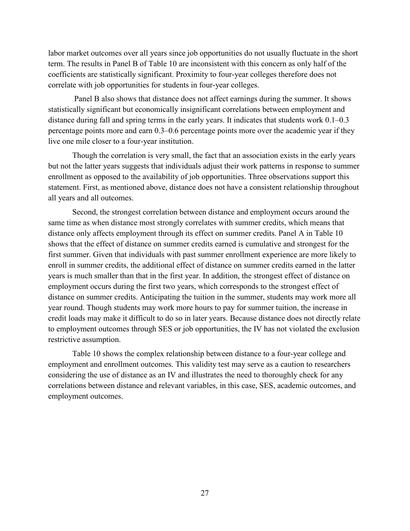labor market outcomes over all years since job opportunities do not usually fluctuate in the short term. The results in Panel B of Table 10 are inconsistent with this concern as only half of the coefficients are statistically significant. Proximity to four-year colleges therefore does not correlate with job opportunities for students in four-year colleges.

Panel B also shows that distance does not affect earnings during the summer. It shows statistically significant but economically insignificant correlations between employment and distance during fall and spring terms in the early years. It indicates that students work 0.1–0.3 percentage points more and earn 0.3–0.6 percentage points more over the academic year if they live one mile closer to a four-year institution.

Though the correlation is very small, the fact that an association exists in the early years but not the latter years suggests that individuals adjust their work patterns in response to summer enrollment as opposed to the availability of job opportunities. Three observations support this statement. First, as mentioned above, distance does not have a consistent relationship throughout all years and all outcomes.

Second, the strongest correlation between distance and employment occurs around the same time as when distance most strongly correlates with summer credits, which means that distance only affects employment through its effect on summer credits. Panel A in Table 10 shows that the effect of distance on summer credits earned is cumulative and strongest for the first summer. Given that individuals with past summer enrollment experience are more likely to enroll in summer credits, the additional effect of distance on summer credits earned in the latter years is much smaller than that in the first year. In addition, the strongest effect of distance on employment occurs during the first two years, which corresponds to the strongest effect of distance on summer credits. Anticipating the tuition in the summer, students may work more all year round. Though students may work more hours to pay for summer tuition, the increase in credit loads may make it difficult to do so in later years. Because distance does not directly relate to employment outcomes through SES or job opportunities, the IV has not violated the exclusion restrictive assumption.

Table 10 shows the complex relationship between distance to a four-year college and employment and enrollment outcomes. This validity test may serve as a caution to researchers considering the use of distance as an IV and illustrates the need to thoroughly check for any correlations between distance and relevant variables, in this case, SES, academic outcomes, and employment outcomes.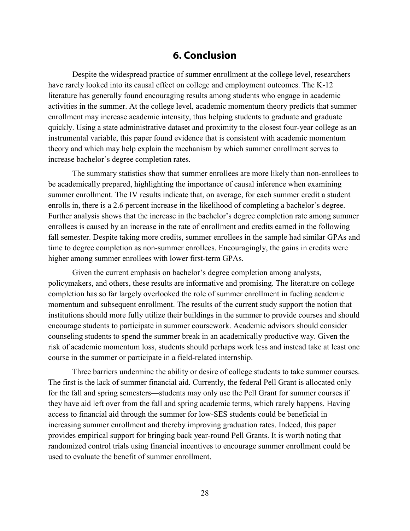### **6. Conclusion**

<span id="page-31-0"></span>Despite the widespread practice of summer enrollment at the college level, researchers have rarely looked into its causal effect on college and employment outcomes. The K-12 literature has generally found encouraging results among students who engage in academic activities in the summer. At the college level, academic momentum theory predicts that summer enrollment may increase academic intensity, thus helping students to graduate and graduate quickly. Using a state administrative dataset and proximity to the closest four-year college as an instrumental variable, this paper found evidence that is consistent with academic momentum theory and which may help explain the mechanism by which summer enrollment serves to increase bachelor's degree completion rates.

The summary statistics show that summer enrollees are more likely than non-enrollees to be academically prepared, highlighting the importance of causal inference when examining summer enrollment. The IV results indicate that, on average, for each summer credit a student enrolls in, there is a 2.6 percent increase in the likelihood of completing a bachelor's degree. Further analysis shows that the increase in the bachelor's degree completion rate among summer enrollees is caused by an increase in the rate of enrollment and credits earned in the following fall semester. Despite taking more credits, summer enrollees in the sample had similar GPAs and time to degree completion as non-summer enrollees. Encouragingly, the gains in credits were higher among summer enrollees with lower first-term GPAs.

Given the current emphasis on bachelor's degree completion among analysts, policymakers, and others, these results are informative and promising. The literature on college completion has so far largely overlooked the role of summer enrollment in fueling academic momentum and subsequent enrollment. The results of the current study support the notion that institutions should more fully utilize their buildings in the summer to provide courses and should encourage students to participate in summer coursework. Academic advisors should consider counseling students to spend the summer break in an academically productive way. Given the risk of academic momentum loss, students should perhaps work less and instead take at least one course in the summer or participate in a field-related internship.

Three barriers undermine the ability or desire of college students to take summer courses. The first is the lack of summer financial aid. Currently, the federal Pell Grant is allocated only for the fall and spring semesters—students may only use the Pell Grant for summer courses if they have aid left over from the fall and spring academic terms, which rarely happens. Having access to financial aid through the summer for low-SES students could be beneficial in increasing summer enrollment and thereby improving graduation rates. Indeed, this paper provides empirical support for bringing back year-round Pell Grants. It is worth noting that randomized control trials using financial incentives to encourage summer enrollment could be used to evaluate the benefit of summer enrollment.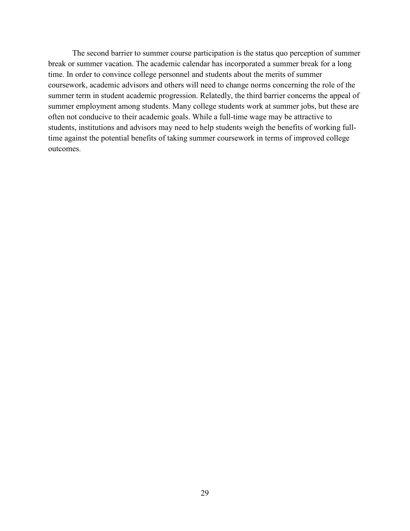The second barrier to summer course participation is the status quo perception of summer break or summer vacation. The academic calendar has incorporated a summer break for a long time. In order to convince college personnel and students about the merits of summer coursework, academic advisors and others will need to change norms concerning the role of the summer term in student academic progression. Relatedly, the third barrier concerns the appeal of summer employment among students. Many college students work at summer jobs, but these are often not conducive to their academic goals. While a full-time wage may be attractive to students, institutions and advisors may need to help students weigh the benefits of working fulltime against the potential benefits of taking summer coursework in terms of improved college outcomes.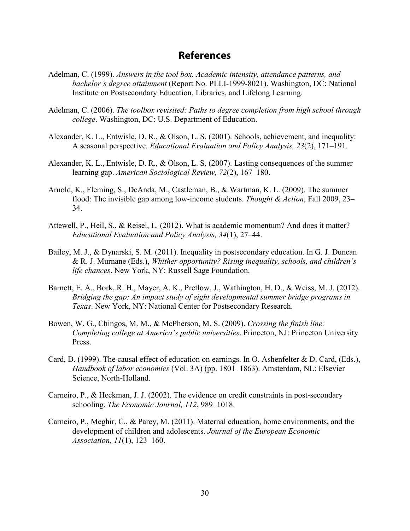### **References**

- <span id="page-33-0"></span>Adelman, C. (1999). *Answers in the tool box. Academic intensity, attendance patterns, and bachelor's degree attainment* (Report No. PLLI-1999-8021). Washington, DC: National Institute on Postsecondary Education, Libraries, and Lifelong Learning.
- Adelman, C. (2006). *The toolbox revisited: Paths to degree completion from high school through college*. Washington, DC: U.S. Department of Education.
- Alexander, K. L., Entwisle, D. R., & Olson, L. S. (2001). Schools, achievement, and inequality: A seasonal perspective. *Educational Evaluation and Policy Analysis, 23*(2), 171–191.
- Alexander, K. L., Entwisle, D. R., & Olson, L. S. (2007). Lasting consequences of the summer learning gap. *American Sociological Review, 72*(2), 167–180.
- Arnold, K., Fleming, S., DeAnda, M., Castleman, B., & Wartman, K. L. (2009). The summer flood: The invisible gap among low-income students. *Thought & Action*, Fall 2009, 23– 34.
- Attewell, P., Heil, S., & Reisel, L. (2012). What is academic momentum? And does it matter? *Educational Evaluation and Policy Analysis, 34*(1), 27–44.
- Bailey, M. J., & Dynarski, S. M. (2011). Inequality in postsecondary education. In G. J. Duncan & R. J. Murnane (Eds.), *Whither opportunity? Rising inequality, schools, and children's life chances*. New York, NY: Russell Sage Foundation.
- Barnett, E. A., Bork, R. H., Mayer, A. K., Pretlow, J., Wathington, H. D., & Weiss, M. J. (2012). *Bridging the gap: An impact study of eight developmental summer bridge programs in Texas*. New York, NY: National Center for Postsecondary Research.
- Bowen, W. G., Chingos, M. M., & McPherson, M. S. (2009). *Crossing the finish line: Completing college at America's public universities*. Princeton, NJ: Princeton University Press.
- Card, D. (1999). The causal effect of education on earnings. In O. Ashenfelter & D. Card, (Eds.), *Handbook of labor economics* (Vol. 3A) (pp. 1801–1863). Amsterdam, NL: Elsevier Science, North-Holland.
- Carneiro, P., & Heckman, J. J. (2002). The evidence on credit constraints in post-secondary schooling. *The Economic Journal, 112*, 989–1018.
- Carneiro, P., Meghir, C., & Parey, M. (2011). Maternal education, home environments, and the development of children and adolescents. *Journal of the European Economic Association, 11*(1), 123–160.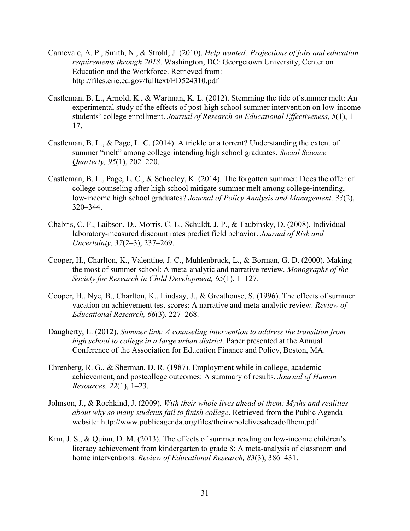- Carnevale, A. P., Smith, N., & Strohl, J. (2010). *Help wanted: Projections of jobs and education requirements through 2018*. Washington, DC: Georgetown University, Center on Education and the Workforce. Retrieved from: <http://files.eric.ed.gov/fulltext/ED524310.pdf>
- Castleman, B. L., Arnold, K., & Wartman, K. L. (2012). Stemming the tide of summer melt: An experimental study of the effects of post-high school summer intervention on low-income students' college enrollment. *Journal of Research on Educational Effectiveness, 5*(1), 1– 17.
- Castleman, B. L., & Page, L. C. (2014). A trickle or a torrent? Understanding the extent of summer "melt" among college‐intending high school graduates. *Social Science Quarterly, 95*(1), 202–220.
- Castleman, B. L., Page, L. C., & Schooley, K. (2014). The forgotten summer: Does the offer of college counseling after high school mitigate summer melt among college‐intending, low‐income high school graduates? *Journal of Policy Analysis and Management, 33*(2), 320–344.
- Chabris, C. F., Laibson, D., Morris, C. L., Schuldt, J. P., & Taubinsky, D. (2008). Individual laboratory-measured discount rates predict field behavior. *Journal of Risk and Uncertainty, 37*(2–3), 237–269.
- Cooper, H., Charlton, K., Valentine, J. C., Muhlenbruck, L., & Borman, G. D. (2000). Making the most of summer school: A meta-analytic and narrative review. *Monographs of the Society for Research in Child Development, 65*(1), 1–127.
- Cooper, H., Nye, B., Charlton, K., Lindsay, J., & Greathouse, S. (1996). The effects of summer vacation on achievement test scores: A narrative and meta-analytic review. *Review of Educational Research, 66*(3), 227–268.
- Daugherty, L. (2012). *Summer link: A counseling intervention to address the transition from high school to college in a large urban district*. Paper presented at the Annual Conference of the Association for Education Finance and Policy, Boston, MA.
- Ehrenberg, R. G., & Sherman, D. R. (1987). Employment while in college, academic achievement, and postcollege outcomes: A summary of results. *Journal of Human Resources, 22*(1), 1–23.
- Johnson, J., & Rochkind, J. (2009). *With their whole lives ahead of them: Myths and realities about why so many students fail to finish college*. Retrieved from the Public Agenda website: http://www.publicagenda.org/files/theirwholelivesaheadofthem.pdf.
- Kim, J. S., & Quinn, D. M. (2013). The effects of summer reading on low-income children's literacy achievement from kindergarten to grade 8: A meta-analysis of classroom and home interventions. *Review of Educational Research, 83*(3), 386–431.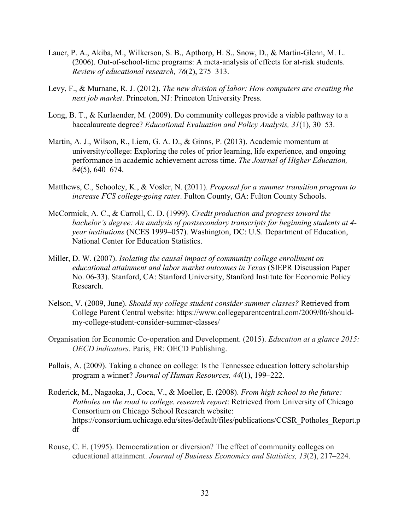- Lauer, P. A., Akiba, M., Wilkerson, S. B., Apthorp, H. S., Snow, D., & Martin-Glenn, M. L. (2006). Out-of-school-time programs: A meta-analysis of effects for at-risk students. *Review of educational research, 76*(2), 275–313.
- Levy, F., & Murnane, R. J. (2012). *The new division of labor: How computers are creating the next job market*. Princeton, NJ: Princeton University Press.
- Long, B. T., & Kurlaender, M. (2009). Do community colleges provide a viable pathway to a baccalaureate degree? *Educational Evaluation and Policy Analysis, 31*(1), 30–53.
- Martin, A. J., Wilson, R., Liem, G. A. D., & Ginns, P. (2013). Academic momentum at university/college: Exploring the roles of prior learning, life experience, and ongoing performance in academic achievement across time. *The Journal of Higher Education, 84*(5), 640–674.
- Matthews, C., Schooley, K., & Vosler, N. (2011). *Proposal for a summer transition program to increase FCS college-going rates*. Fulton County, GA: Fulton County Schools.
- McCormick, A. C., & Carroll, C. D. (1999). *Credit production and progress toward the bachelor's degree: An analysis of postsecondary transcripts for beginning students at 4 year institutions* (NCES 1999–057). Washington, DC: U.S. Department of Education, National Center for Education Statistics.
- Miller, D. W. (2007). *Isolating the causal impact of community college enrollment on educational attainment and labor market outcomes in Texas* (SIEPR Discussion Paper No. 06-33). Stanford, CA: Stanford University, Stanford Institute for Economic Policy Research.
- Nelson, V. (2009, June). *Should my college student consider summer classes?* Retrieved from College Parent Central website: [https://www.collegeparentcentral.com/2009/06/should](https://www.collegeparentcentral.com/2009/06/should-my-college-student-consider-summer-classes/)[my-college-student-consider-summer-classes/](https://www.collegeparentcentral.com/2009/06/should-my-college-student-consider-summer-classes/)
- Organisation for Economic Co-operation and Development. (2015). *Education at a glance 2015: OECD indicators*. Paris, FR: OECD Publishing.
- Pallais, A. (2009). Taking a chance on college: Is the Tennessee education lottery scholarship program a winner? *Journal of Human Resources, 44*(1), 199–222.
- Roderick, M., Nagaoka, J., Coca, V., & Moeller, E. (2008). *From high school to the future: Potholes on the road to college. research report*: Retrieved from University of Chicago Consortium on Chicago School Research website: [https://consortium.uchicago.edu/sites/default/files/publications/CCSR\\_Potholes\\_Report.p](https://consortium.uchicago.edu/sites/default/files/publications/CCSR_Potholes_Report.pdf) [df](https://consortium.uchicago.edu/sites/default/files/publications/CCSR_Potholes_Report.pdf)
- Rouse, C. E. (1995). Democratization or diversion? The effect of community colleges on educational attainment. *Journal of Business Economics and Statistics, 13*(2), 217–224.